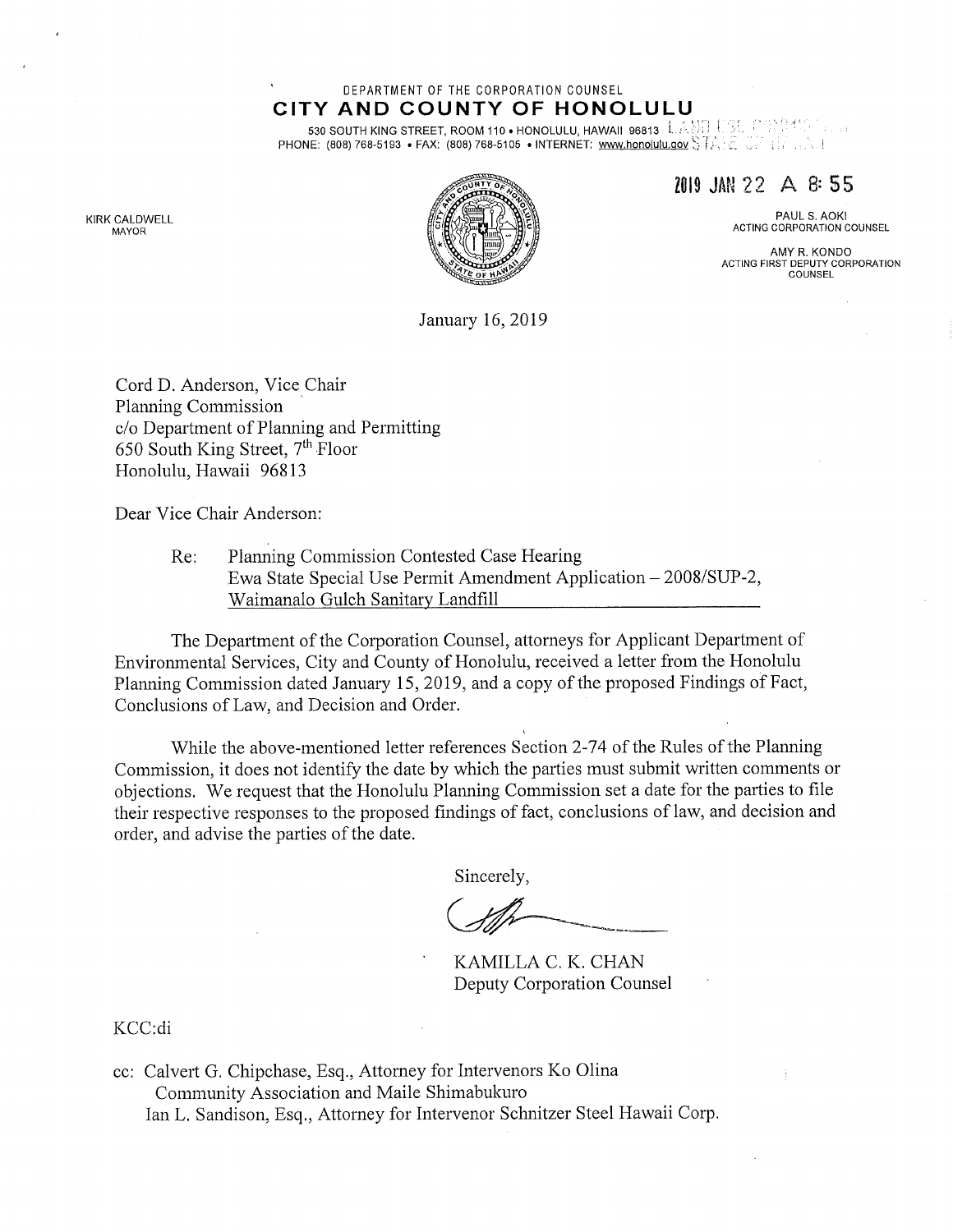#### DEPARTMENT OF THE CORPORATION COUNSEL CITY AND COUNTY OF HONOLULU

530 SOUTH KING STREET, ROOM 110 . HONOLULU, HAWAII 96813 L.AMIL USE PRANCE. PHONE: (808) 768-5193 • FAX: (808) 768-5105 • INTERNET: www.honolulu.gov  $ST \wedge \mathbb{R}$  and  $ST \wedge \mathbb{R}$ 

KIRK CALDWELL MAYOR



2019 Ml 22 A 8: 55

PAUL S. AOKI ACTING CORPORATION COUNSEL

AMY R. KONDO ACTING FIRST DEPUTY CORPORATION COUNSEL

January 16, 2019

Cord D. Anderson, Vice Chair Planning Commission c/o Department of Planning and Permitting 650 South King Street, 7th Floor Honolulu, Hawaii 96813

Dear Vice Chair Anderson:

Re: Planning Commission Contested Case Hearing Ewa State Special Use Permit Amendment Application - 2008/SUP-2, Waimanalo Gulch Sanitary Landfill

The Department of the Corporation Counsel, attorneys for Applicant Department of Environmental Services, City and County of Honolulu, received a letter from the Honolulu Planning Commission dated January 15, 2019, and a copy of the proposed Findings of Fact, Conclusions of Law, and Decision and Order.

While the above-mentioned letter references Section 2-74 of the Rules of the Planning Commission, it does not identify the date by which the parties must submit written comments or objections. We request that the Honolulu Planning Commission set a date for the parties to file their respective responses to the proposed findings of fact, conclusions of law, and decision and order, and advise the parties of the date.

Sincerely,

KAMILLA C. K. CHAN Deputy Corporation Counsel

KCC:di

cc: Calvert G. Chipchase, Esq., Attorney for Intervenors Ko Olina Community Association and Maile Shimabukuro Ian L. Sandison, Esq., Attorney for Intervenor Schnitzer Steel Hawaii Corp.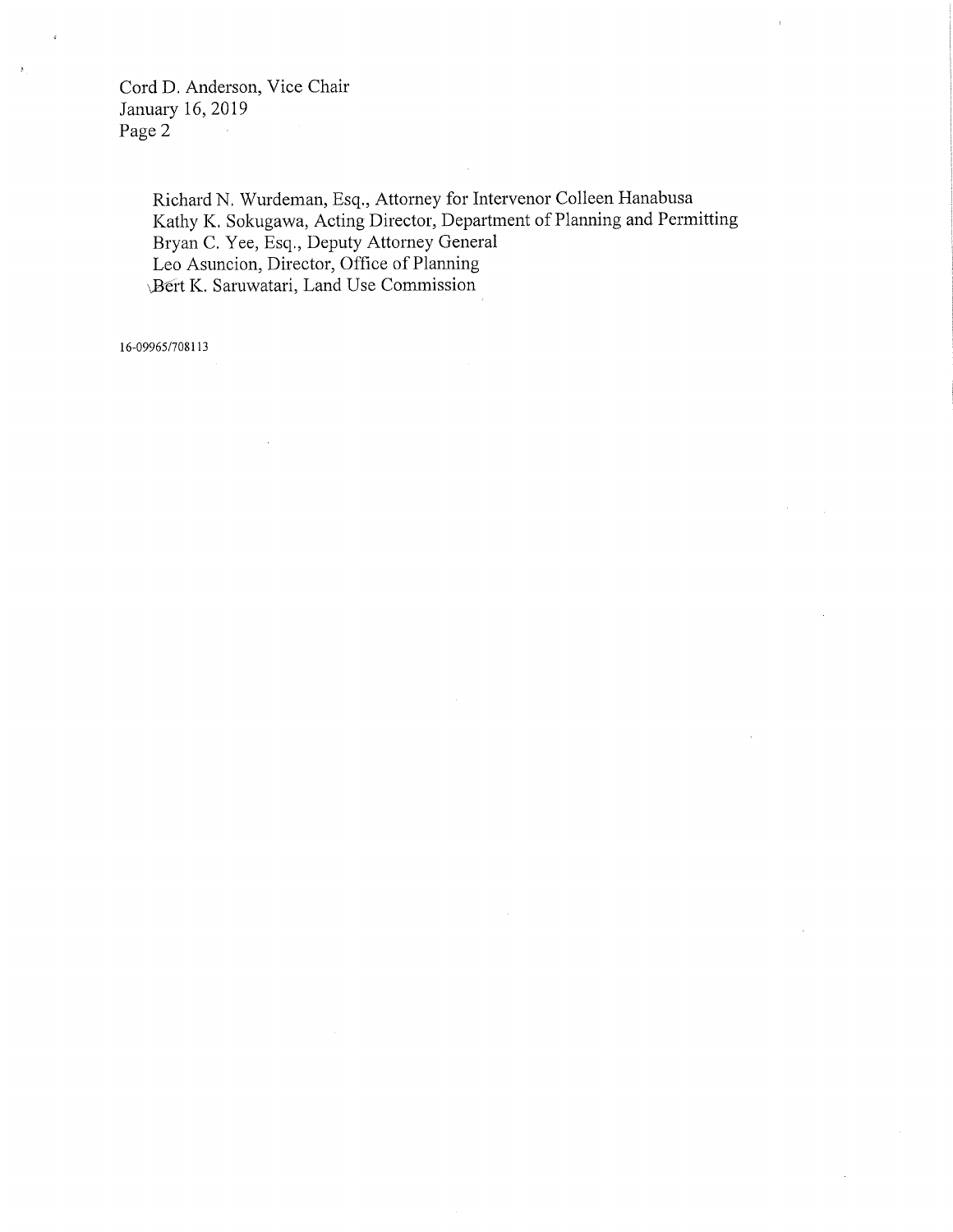Cord D. Anderson, Vice Chair January 16, 2019 Page 2

> Richard N. Wurdeman, Esq., Attorney for Intervenor Colleen Hanabusa Kathy K. Sokugawa, Acting Director, Department of Planning and Permitting Bryan C. Yee, Esq., Deputy Attorney General Leo Asuncion, Director, Office of Planning Bert K. Saruwatari, Land Use Commission

16-09965/708113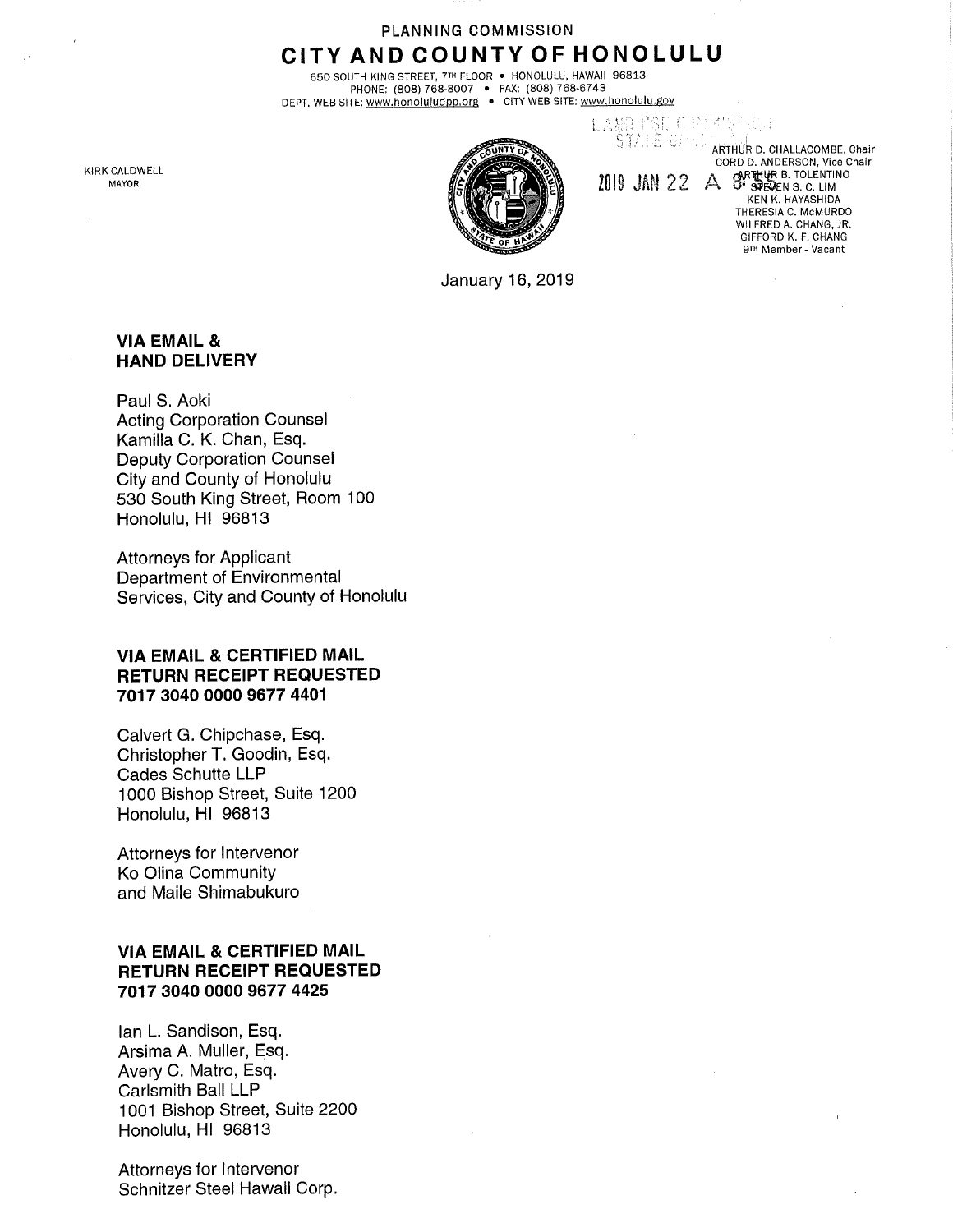# PLANNING COMMISSION CITY AND COUNTY OF HONOLULU

650 SOUTH KING STREET, 7™ FLOOR • HONOLULU, HAWAII 96813 PHONE: (808) 768-8007 • FAX: (808) 768-6743 DEPT. WEB SITE: www.honoluludpp.org • CITY WEB SITE: <u>www.honolulu.gov</u>

KIRK CALDWELL MAYOR



KO, MST, (1, 1899)<br>STATE, Open Graffhûr d. challacombe, chair CORD D. ANDERSON, Vice Chair 2019 JAN 22 A OF SHELL B. TOLENTINO KEN K. HAYASHIDA THERESIA C. McMURDO WILFRED A. CHANG, JR. GIFFORD K. F. CHANG 9th Member - Vacant

January 16, 2019

#### VIA EMAIL & HAND DELIVERY

Paul S. Aoki Acting Corporation Counsel Kamilla C. K. Chan, Esq. Deputy Corporation Counsel City and County of Honolulu 530 South King Street, Room 100 Honolulu, HI 96813

Attorneys for Applicant Department of Environmental Services, City and County of Honolulu

### VIA EMAIL & CERTIFIED MAIL RETURN RECEIPT REQUESTED 7017 3040 0000 9677 4401

Calvert G. Chipchase, Esq. Christopher T. Goodin, Esq. Cades Schutte LLP 1000 Bishop Street, Suite 1200 Honolulu, HI 96813

Attorneys for Intervenor Ko Olina Community and Maile Shimabukuro

## VIA EMAIL & CERTIFIED MAIL RETURN RECEIPT REQUESTED 7017 3040 0000 9677 4425

Ian L. Sandison, Esq. Arsima A. Muller, Esq. Avery C. Matro, Esq. Carlsmith Ball LLP 1001 Bishop Street, Suite 2200 Honolulu, HI 96813

Attorneys for Intervenor Schnitzer Steel Hawaii Corp.